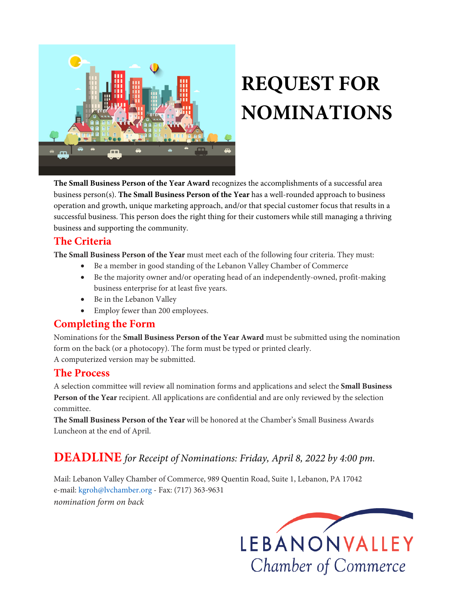

# **REQUEST FOR NOMINATIONS**

**The Small Business Person of the Year Award** recognizes the accomplishments of a successful area business person(s). **The Small Business Person of the Year** has a well-rounded approach to business operation and growth, unique marketing approach, and/or that special customer focus that results in a successful business. This person does the right thing for their customers while still managing a thriving business and supporting the community.

### **The Criteria**

**The Small Business Person of the Year** must meet each of the following four criteria. They must:

- Be a member in good standing of the Lebanon Valley Chamber of Commerce
- Be the majority owner and/or operating head of an independently-owned, profit-making business enterprise for at least five years.
- Be in the Lebanon Valley
- Employ fewer than 200 employees.

## **Completing the Form**

Nominations for the **Small Business Person of the Year Award** must be submitted using the nomination form on the back (or a photocopy). The form must be typed or printed clearly. A computerized version may be submitted.

## **The Process**

A selection committee will review all nomination forms and applications and select the **Small Business Person of the Year** recipient. All applications are confidential and are only reviewed by the selection committee.

**The Small Business Person of the Year** will be honored at the Chamber's Small Business Awards Luncheon at the end of April.

# **DEADLINE** *for Receipt of Nominations: Friday, April 8, 2022 by 4:00 pm.*

Mail: Lebanon Valley Chamber of Commerce, 989 Quentin Road, Suite 1, Lebanon, PA 17042 e-mail: kgroh@lvchamber.org - Fax: (717) 363-9631 *nomination form on back*